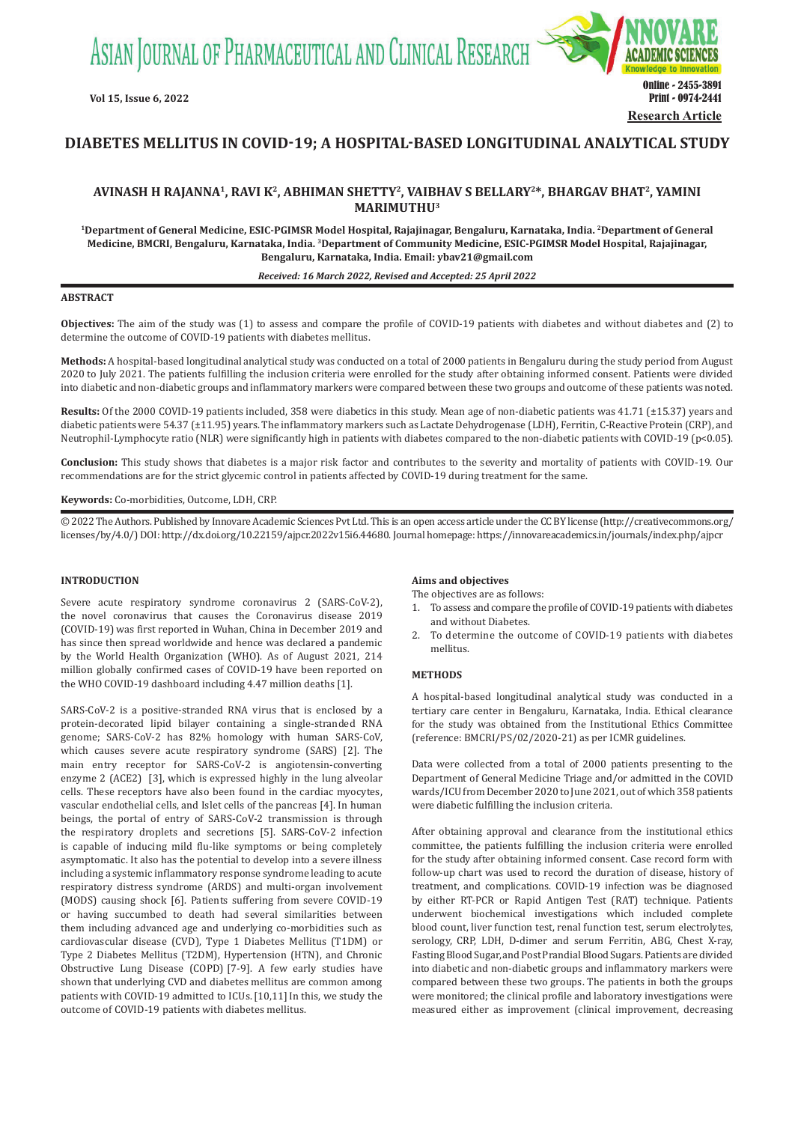ASIAN JOURNAL OF PHARMACEUTICAL AND CLINICAL RESEARCH



# **DIABETES MELLITUS IN COVID-19; A HOSPITAL-BASED LONGITUDINAL ANALYTICAL STUDY**

# **AVINASH H RAJANNA1, RAVI K<sup>2</sup>, ABHIMAN SHETTY<sup>2</sup>, VAIBHAV S BELLARY<sup>2</sup>\*, BHARGAV BHAT<sup>2</sup>, YAMINI MARIMUTHU<sup>3</sup>**

**1Department of General Medicine, ESIC-PGIMSR Model Hospital, Rajajinagar, Bengaluru, Karnataka, India. <sup>2</sup>Department of General Medicine, BMCRI, Bengaluru, Karnataka, India. <sup>3</sup>Department of Community Medicine, ESIC-PGIMSR Model Hospital, Rajajinagar, Bengaluru, Karnataka, India. Email: ybav21@gmail.com**

#### *Received: 16 March 2022, Revised and Accepted: 25 April 2022*

## **ABSTRACT**

**Objectives:** The aim of the study was (1) to assess and compare the profile of COVID-19 patients with diabetes and without diabetes and (2) to determine the outcome of COVID-19 patients with diabetes mellitus.

**Methods:** A hospital-based longitudinal analytical study was conducted on a total of 2000 patients in Bengaluru during the study period from August 2020 to July 2021. The patients fulfilling the inclusion criteria were enrolled for the study after obtaining informed consent. Patients were divided into diabetic and non-diabetic groups and inflammatory markers were compared between these two groups and outcome of these patients was noted.

**Results:** Of the 2000 COVID-19 patients included, 358 were diabetics in this study. Mean age of non-diabetic patients was 41.71 (±15.37) years and diabetic patients were 54.37 (±11.95) years. The inflammatory markers such as Lactate Dehydrogenase (LDH), Ferritin, C-Reactive Protein (CRP), and Neutrophil-Lymphocyte ratio (NLR) were significantly high in patients with diabetes compared to the non-diabetic patients with COVID-19 (p<0.05).

**Conclusion:** This study shows that diabetes is a major risk factor and contributes to the severity and mortality of patients with COVID-19. Our recommendations are for the strict glycemic control in patients affected by COVID-19 during treatment for the same.

#### **Keywords:** Co-morbidities, Outcome, LDH, CRP.

© 2022 The Authors. Published by Innovare Academic Sciences Pvt Ltd. This is an open access article under the CC BY license (http://creativecommons.org/ licenses/by/4.0/) DOI: http://dx.doi.org/10.22159/ajpcr.2022v15i6.44680. Journal homepage: https://innovareacademics.in/journals/index.php/ajpcr

#### **INTRODUCTION**

Severe acute respiratory syndrome coronavirus 2 (SARS-CoV-2), the novel coronavirus that causes the Coronavirus disease 2019 (COVID-19) was first reported in Wuhan, China in December 2019 and has since then spread worldwide and hence was declared a pandemic by the World Health Organization (WHO). As of August 2021, 214 million globally confirmed cases of COVID-19 have been reported on the WHO COVID-19 dashboard including 4.47 million deaths [1].

SARS-CoV-2 is a positive-stranded RNA virus that is enclosed by a protein-decorated lipid bilayer containing a single-stranded RNA genome; SARS-CoV-2 has 82% homology with human SARS-CoV, which causes severe acute respiratory syndrome (SARS) [2]. The main entry receptor for SARS-CoV-2 is angiotensin-converting enzyme 2 (ACE2) [3], which is expressed highly in the lung alveolar cells. These receptors have also been found in the cardiac myocytes, vascular endothelial cells, and Islet cells of the pancreas [4]. In human beings, the portal of entry of SARS-CoV-2 transmission is through the respiratory droplets and secretions [5]. SARS-CoV-2 infection is capable of inducing mild flu-like symptoms or being completely asymptomatic. It also has the potential to develop into a severe illness including a systemic inflammatory response syndrome leading to acute respiratory distress syndrome (ARDS) and multi-organ involvement (MODS) causing shock [6]. Patients suffering from severe COVID-19 or having succumbed to death had several similarities between them including advanced age and underlying co-morbidities such as cardiovascular disease (CVD), Type 1 Diabetes Mellitus (T1DM) or Type 2 Diabetes Mellitus (T2DM), Hypertension (HTN), and Chronic Obstructive Lung Disease (COPD) [7-9]. A few early studies have shown that underlying CVD and diabetes mellitus are common among patients with COVID-19 admitted to ICUs. [10,11] In this, we study the outcome of COVID-19 patients with diabetes mellitus.

#### **Aims and objectives**

The objectives are as follows:

- 1. To assess and compare the profile of COVID-19 patients with diabetes and without Diabetes.
- 2. To determine the outcome of COVID-19 patients with diabetes mellitus.

## **METHODS**

A hospital-based longitudinal analytical study was conducted in a tertiary care center in Bengaluru, Karnataka, India. Ethical clearance for the study was obtained from the Institutional Ethics Committee (reference: BMCRI/PS/02/2020-21) as per ICMR guidelines.

Data were collected from a total of 2000 patients presenting to the Department of General Medicine Triage and/or admitted in the COVID wards/ICU from December 2020 to June 2021, out of which 358 patients were diabetic fulfilling the inclusion criteria.

After obtaining approval and clearance from the institutional ethics committee, the patients fulfilling the inclusion criteria were enrolled for the study after obtaining informed consent. Case record form with follow-up chart was used to record the duration of disease, history of treatment, and complications. COVID-19 infection was be diagnosed by either RT-PCR or Rapid Antigen Test (RAT) technique. Patients underwent biochemical investigations which included complete blood count, liver function test, renal function test, serum electrolytes, serology, CRP, LDH, D-dimer and serum Ferritin, ABG, Chest X-ray, Fasting Blood Sugar, and Post Prandial Blood Sugars. Patients are divided into diabetic and non-diabetic groups and inflammatory markers were compared between these two groups. The patients in both the groups were monitored; the clinical profile and laboratory investigations were measured either as improvement (clinical improvement, decreasing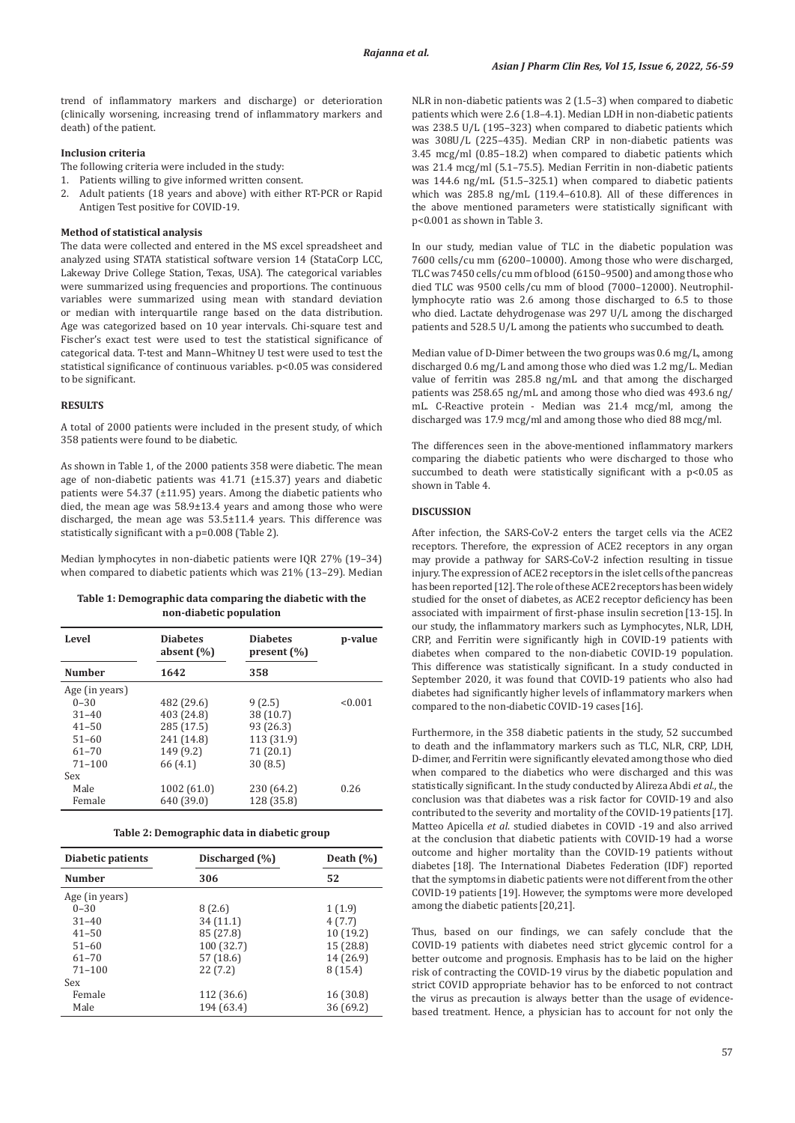trend of inflammatory markers and discharge) or deterioration (clinically worsening, increasing trend of inflammatory markers and death) of the patient.

# **Inclusion criteria**

- The following criteria were included in the study:
- 1. Patients willing to give informed written consent.<br>2. Adult patients (18 years and above) with either
- 2. Adult patients (18 years and above) with either RT-PCR or Rapid Antigen Test positive for COVID-19.

#### **Method of statistical analysis**

The data were collected and entered in the MS excel spreadsheet and analyzed using STATA statistical software version 14 (StataCorp LCC, Lakeway Drive College Station, Texas, USA). The categorical variables were summarized using frequencies and proportions. The continuous variables were summarized using mean with standard deviation or median with interquartile range based on the data distribution. Age was categorized based on 10 year intervals. Chi-square test and Fischer's exact test were used to test the statistical significance of categorical data. T-test and Mann–Whitney U test were used to test the statistical significance of continuous variables. p<0.05 was considered to be significant.

### **RESULTS**

A total of 2000 patients were included in the present study, of which 358 patients were found to be diabetic.

As shown in Table 1, of the 2000 patients 358 were diabetic. The mean age of non-diabetic patients was 41.71 (±15.37) years and diabetic patients were 54.37 (±11.95) years. Among the diabetic patients who died, the mean age was 58.9±13.4 years and among those who were discharged, the mean age was 53.5±11.4 years. This difference was statistically significant with a p=0.008 (Table 2).

Median lymphocytes in non-diabetic patients were IQR 27% (19–34) when compared to diabetic patients which was 21% (13–29). Median

## **Table 1: Demographic data comparing the diabetic with the non‑diabetic population**

| Level          | <b>Diabetes</b><br>absent $(\% )$ | <b>Diabetes</b><br>present $(\% )$ | p-value |
|----------------|-----------------------------------|------------------------------------|---------|
| <b>Number</b>  | 1642                              | 358                                |         |
| Age (in years) |                                   |                                    |         |
| $0 - 30$       | 482 (29.6)                        | 9(2.5)                             | < 0.001 |
| $31 - 40$      | 403 (24.8)                        | 38 (10.7)                          |         |
| $41 - 50$      | 285 (17.5)                        | 93 (26.3)                          |         |
| $51 - 60$      | 241 (14.8)                        | 113 (31.9)                         |         |
| $61 - 70$      | 149 (9.2)                         | 71 (20.1)                          |         |
| $71 - 100$     | 66 (4.1)                          | 30(8.5)                            |         |
| Sex            |                                   |                                    |         |
| Male           | 1002 (61.0)                       | 230 (64.2)                         | 0.26    |
| Female         | 640 (39.0)                        | 128 (35.8)                         |         |

| Table 2: Demographic data in diabetic group |  |  |  |
|---------------------------------------------|--|--|--|
|---------------------------------------------|--|--|--|

| Diabetic patients | Discharged (%) | Death $(\% )$ |
|-------------------|----------------|---------------|
| <b>Number</b>     | 306            | 52            |
| Age (in years)    |                |               |
| $0 - 30$          | 8(2.6)         | 1(1.9)        |
| $31 - 40$         | 34(11.1)       | 4(7.7)        |
| $41 - 50$         | 85 (27.8)      | 10(19.2)      |
| $51 - 60$         | 100 (32.7)     | 15 (28.8)     |
| $61 - 70$         | 57 (18.6)      | 14 (26.9)     |
| $71 - 100$        | 22(7.2)        | 8(15.4)       |
| Sex               |                |               |
| Female            | 112 (36.6)     | 16 (30.8)     |
| Male              | 194 (63.4)     | 36 (69.2)     |

NLR in non-diabetic patients was 2 (1.5–3) when compared to diabetic patients which were 2.6 (1.8–4.1). Median LDH in non-diabetic patients was 238.5 U/L (195–323) when compared to diabetic patients which was 308U/L (225–435). Median CRP in non-diabetic patients was 3.45 mcg/ml (0.85–18.2) when compared to diabetic patients which was 21.4 mcg/ml (5.1–75.5). Median Ferritin in non-diabetic patients was 144.6 ng/mL (51.5–325.1) when compared to diabetic patients which was 285.8 ng/mL (119.4–610.8). All of these differences in the above mentioned parameters were statistically significant with p<0.001 as shown in Table 3.

In our study, median value of TLC in the diabetic population was 7600 cells/cu mm (6200–10000). Among those who were discharged, TLC was 7450 cells/cu mm of blood (6150–9500) and among those who died TLC was 9500 cells/cu mm of blood (7000–12000). Neutrophillymphocyte ratio was 2.6 among those discharged to 6.5 to those who died. Lactate dehydrogenase was 297 U/L among the discharged patients and 528.5 U/L among the patients who succumbed to death.

Median value of D-Dimer between the two groups was 0.6 mg/L, among discharged 0.6 mg/L and among those who died was 1.2 mg/L. Median value of ferritin was 285.8 ng/mL and that among the discharged patients was 258.65 ng/mL and among those who died was 493.6 ng/ mL. C-Reactive protein - Median was 21.4 mcg/ml, among the discharged was 17.9 mcg/ml and among those who died 88 mcg/ml.

The differences seen in the above-mentioned inflammatory markers comparing the diabetic patients who were discharged to those who succumbed to death were statistically significant with a p<0.05 as shown in Table 4.

## **DISCUSSION**

After infection, the SARS-CoV-2 enters the target cells via the ACE2 receptors. Therefore, the expression of ACE2 receptors in any organ may provide a pathway for SARS-CoV-2 infection resulting in tissue injury. The expression of ACE2 receptors in the islet cells of the pancreas has been reported [12]. The role of these ACE2 receptors has been widely studied for the onset of diabetes, as ACE2 receptor deficiency has been associated with impairment of first-phase insulin secretion [13-15]. In our study, the inflammatory markers such as Lymphocytes, NLR, LDH, CRP, and Ferritin were significantly high in COVID-19 patients with diabetes when compared to the non-diabetic COVID-19 population. This difference was statistically significant. In a study conducted in September 2020, it was found that COVID-19 patients who also had diabetes had significantly higher levels of inflammatory markers when compared to the non-diabetic COVID-19 cases [16].

Furthermore, in the 358 diabetic patients in the study, 52 succumbed to death and the inflammatory markers such as TLC, NLR, CRP, LDH, D-dimer, and Ferritin were significantly elevated among those who died when compared to the diabetics who were discharged and this was statistically significant. In the study conducted by Alireza Abdi *et al*., the conclusion was that diabetes was a risk factor for COVID-19 and also contributed to the severity and mortality of the COVID-19 patients [17]. Matteo Apicella *et al*. studied diabetes in COVID -19 and also arrived at the conclusion that diabetic patients with COVID-19 had a worse outcome and higher mortality than the COVID-19 patients without diabetes [18]. The International Diabetes Federation (IDF) reported that the symptoms in diabetic patients were not different from the other COVID-19 patients [19]. However, the symptoms were more developed among the diabetic patients [20,21].

Thus, based on our findings, we can safely conclude that the COVID-19 patients with diabetes need strict glycemic control for a better outcome and prognosis. Emphasis has to be laid on the higher risk of contracting the COVID-19 virus by the diabetic population and strict COVID appropriate behavior has to be enforced to not contract the virus as precaution is always better than the usage of evidencebased treatment. Hence, a physician has to account for not only the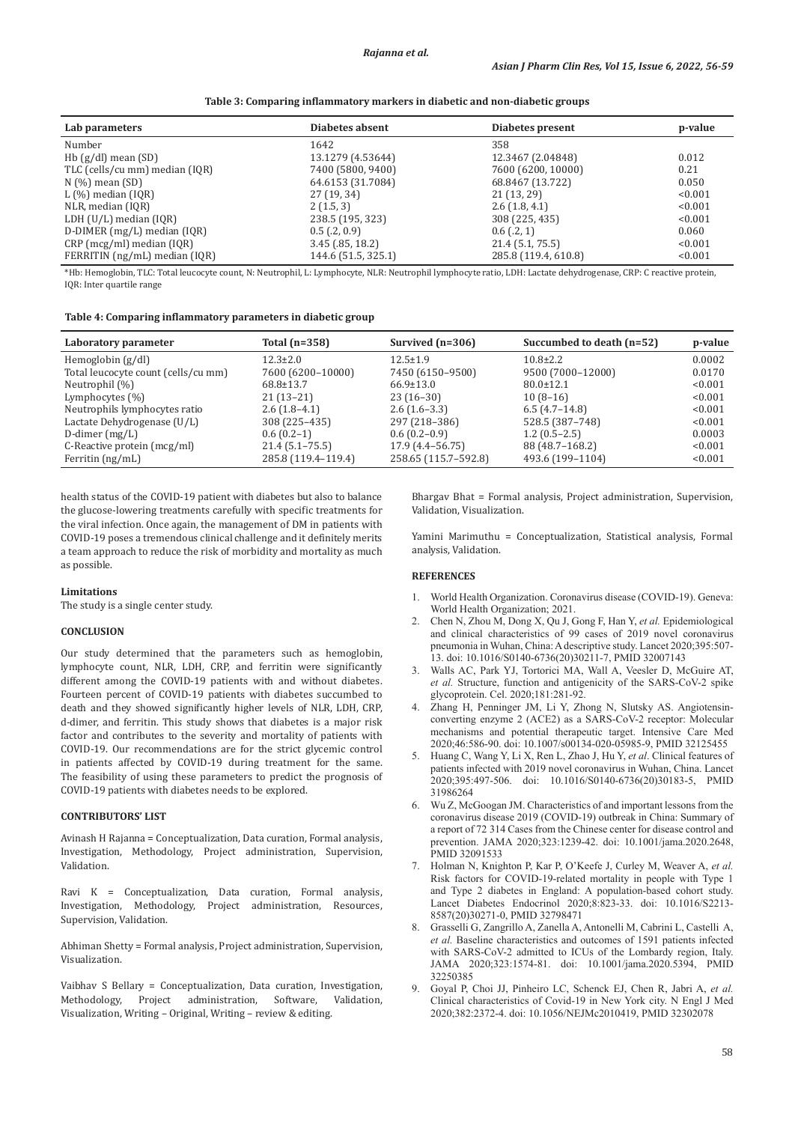| Table 3: Comparing inflammatory markers in diabetic and non-diabetic groups |  |  |  |
|-----------------------------------------------------------------------------|--|--|--|
|                                                                             |  |  |  |

| Lab parameters                 | Diabetes absent     | Diabetes present     | p-value |
|--------------------------------|---------------------|----------------------|---------|
| Number                         | 1642                | 358                  |         |
| Hb $(g/dl)$ mean $(SD)$        | 13.1279 (4.53644)   | 12.3467 (2.04848)    | 0.012   |
| TLC (cells/cu mm) median (IQR) | 7400 (5800, 9400)   | 7600 (6200, 10000)   | 0.21    |
| $N$ (%) mean (SD)              | 64.6153 (31.7084)   | 68.8467 (13.722)     | 0.050   |
| $L(\%)$ median (IQR)           | 27 (19, 34)         | 21(13, 29)           | < 0.001 |
| NLR, median (IQR)              | 2(1.5, 3)           | 2.6(1.8, 4.1)        | < 0.001 |
| LDH $(U/L)$ median $(IOR)$     | 238.5 (195, 323)    | 308 (225, 435)       | < 0.001 |
| $D$ -DIMER (mg/L) median (IQR) | $0.5$ (.2, 0.9)     | $0.6$ (.2, 1)        | 0.060   |
| $CRP$ (mcg/ml) median (IQR)    | $3.45$ (.85, 18.2)  | 21.4 (5.1, 75.5)     | < 0.001 |
| FERRITIN (ng/mL) median (IQR)  | 144.6 (51.5, 325.1) | 285.8 (119.4, 610.8) | < 0.001 |

\*Hb: Hemoglobin, TLC: Total leucocyte count, N: Neutrophil, L: Lymphocyte, NLR: Neutrophil lymphocyte ratio, LDH: Lactate dehydrogenase, CRP: C reactive protein, IQR: Inter quartile range

#### **Table 4: Comparing inflammatory parameters in diabetic group**

| Laboratory parameter                | Total $(n=358)$     | Survived $(n=306)$   | Succumbed to death (n=52) | p-value |
|-------------------------------------|---------------------|----------------------|---------------------------|---------|
| Hemoglobin $(g/dl)$                 | $12.3 \pm 2.0$      | $12.5 \pm 1.9$       | $10.8 \pm 2.2$            | 0.0002  |
| Total leucocyte count (cells/cu mm) | 7600 (6200-10000)   | 7450 (6150-9500)     | 9500 (7000-12000)         | 0.0170  |
| Neutrophil (%)                      | 68.8±13.7           | $66.9 \pm 13.0$      | $80.0 \pm 12.1$           | < 0.001 |
| Lymphocytes $(\%)$                  | $21(13-21)$         | $23(16-30)$          | $10(8-16)$                | < 0.001 |
| Neutrophils lymphocytes ratio       | $2.6(1.8-4.1)$      | $2.6(1.6-3.3)$       | $6.5(4.7-14.8)$           | < 0.001 |
| Lactate Dehydrogenase (U/L)         | 308 (225-435)       | 297 (218-386)        | 528.5 (387-748)           | < 0.001 |
| D-dimer $(mg/L)$                    | $0.6(0.2-1)$        | $0.6(0.2-0.9)$       | $1.2(0.5-2.5)$            | 0.0003  |
| C-Reactive protein (mcg/ml)         | $21.4(5.1 - 75.5)$  | 17.9 (4.4-56.75)     | 88 (48.7–168.2)           | < 0.001 |
| Ferritin $(ng/mL)$                  | 285.8 (119.4-119.4) | 258.65 (115.7-592.8) | 493.6 (199-1104)          | < 0.001 |

health status of the COVID-19 patient with diabetes but also to balance the glucose-lowering treatments carefully with specific treatments for the viral infection. Once again, the management of DM in patients with COVID-19 poses a tremendous clinical challenge and it definitely merits a team approach to reduce the risk of morbidity and mortality as much as possible.

# **Limitations**

The study is a single center study.

#### **CONCLUSION**

Our study determined that the parameters such as hemoglobin, lymphocyte count, NLR, LDH, CRP, and ferritin were significantly different among the COVID-19 patients with and without diabetes. Fourteen percent of COVID-19 patients with diabetes succumbed to death and they showed significantly higher levels of NLR, LDH, CRP, d-dimer, and ferritin. This study shows that diabetes is a major risk factor and contributes to the severity and mortality of patients with COVID-19. Our recommendations are for the strict glycemic control in patients affected by COVID-19 during treatment for the same. The feasibility of using these parameters to predict the prognosis of COVID-19 patients with diabetes needs to be explored.

### **CONTRIBUTORS' LIST**

Avinash H Rajanna = Conceptualization, Data curation, Formal analysis, Investigation, Methodology, Project administration, Supervision, Validation.

Ravi K = Conceptualization, Data curation, Formal analysis, Investigation, Methodology, Project administration, Resources, Supervision, Validation.

Abhiman Shetty = Formal analysis, Project administration, Supervision, Visualization.

Vaibhav S Bellary = Conceptualization, Data curation, Investigation, Project administration, Software, Visualization, Writing – Original, Writing – review & editing.

Bhargav Bhat = Formal analysis, Project administration, Supervision, Validation, Visualization.

Yamini Marimuthu = Conceptualization, Statistical analysis, Formal analysis, Validation.

## **REFERENCES**

- 1. World Health Organization. Coronavirus disease (COVID-19). Geneva: World Health Organization; 2021.
- 2. Chen N, Zhou M, Dong X, Qu J, Gong F, Han Y, *et al.* Epidemiological and clinical characteristics of 99 cases of 2019 novel coronavirus pneumonia in Wuhan, China: Adescriptive study. Lancet 2020;395:507- 13. doi: 10.1016/S0140-6736(20)30211-7, PMID 32007143
- 3. Walls AC, Park YJ, Tortorici MA, Wall A, Veesler D, McGuire AT, *et al.* Structure, function and antigenicity of the SARS-CoV-2 spike glycoprotein. Cel. 2020;181:281-92.
- 4. Zhang H, Penninger JM, Li Y, Zhong N, Slutsky AS. Angiotensinconverting enzyme 2 (ACE2) as a SARS-CoV-2 receptor: Molecular mechanisms and potential therapeutic target. Intensive Care Med 2020;46:586-90. doi: 10.1007/s00134-020-05985-9, PMID 32125455
- 5. Huang C, Wang Y, Li X, Ren L, Zhao J, Hu Y, *et al*. Clinical features of patients infected with 2019 novel coronavirus in Wuhan, China. Lancet 2020;395:497-506. doi: 10.1016/S0140-6736(20)30183-5, PMID 31986264
- 6. Wu Z, McGoogan JM. Characteristics of and important lessons from the coronavirus disease 2019 (COVID-19) outbreak in China: Summary of a report of 72 314 Cases from the Chinese center for disease control and prevention. JAMA 2020;323:1239-42. doi: 10.1001/jama.2020.2648, PMID 32091533
- 7. Holman N, Knighton P, Kar P, O'Keefe J, Curley M, Weaver A, *et al.* Risk factors for COVID-19-related mortality in people with Type 1 and Type 2 diabetes in England: A population-based cohort study. Lancet Diabetes Endocrinol 2020;8:823-33. doi: 10.1016/S2213- 8587(20)30271-0, PMID 32798471
- 8. Grasselli G, Zangrillo A, Zanella A, Antonelli M, Cabrini L, Castelli A, *et al.* Baseline characteristics and outcomes of 1591 patients infected with SARS-CoV-2 admitted to ICUs of the Lombardy region, Italy. JAMA 2020;323:1574-81. doi: 10.1001/jama.2020.5394, PMID 32250385
- 9. Goyal P, Choi JJ, Pinheiro LC, Schenck EJ, Chen R, Jabri A, *et al.* Clinical characteristics of Covid-19 in New York city. N Engl J Med 2020;382:2372-4. doi: 10.1056/NEJMc2010419, PMID 32302078